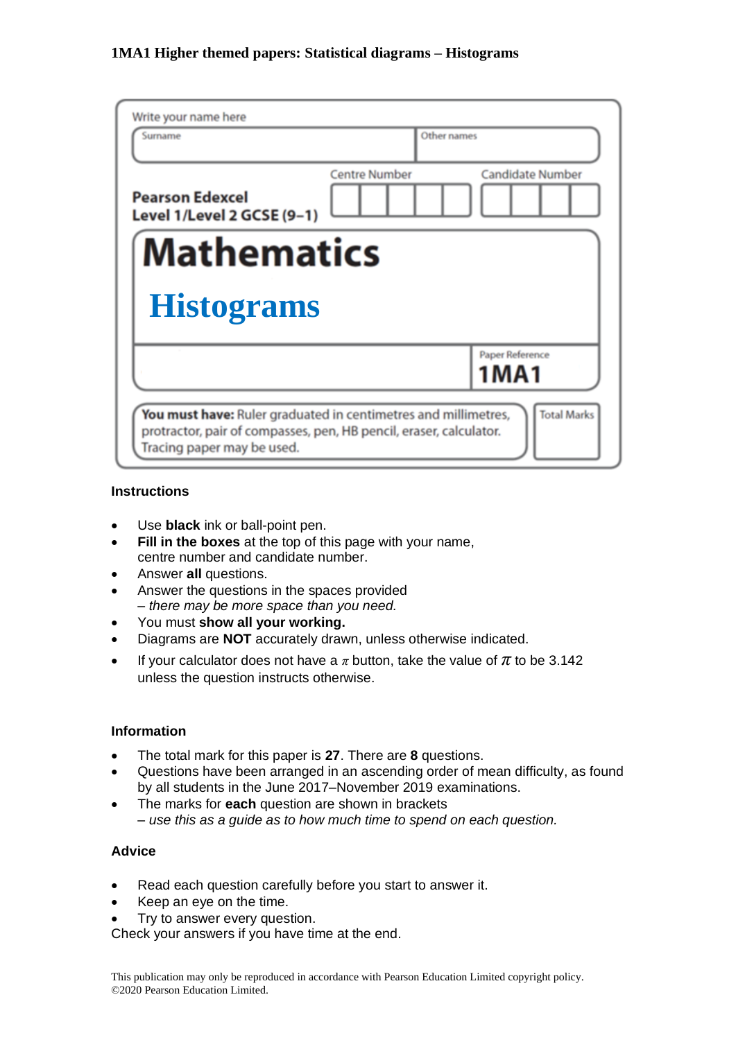| Write your name here<br>Surname                      | Other names                                     |  |  |  |
|------------------------------------------------------|-------------------------------------------------|--|--|--|
|                                                      |                                                 |  |  |  |
| <b>Pearson Edexcel</b><br>Level 1/Level 2 GCSE (9-1) | <b>Centre Number</b><br><b>Candidate Number</b> |  |  |  |
| <b>Mathematics</b>                                   |                                                 |  |  |  |
| <b>Histograms</b>                                    |                                                 |  |  |  |
|                                                      | Paper Reference<br><b>1MA1</b>                  |  |  |  |
|                                                      |                                                 |  |  |  |

#### **Instructions**

- Use **black** ink or ball-point pen.
- **Fill in the boxes** at the top of this page with your name, centre number and candidate number.
- Answer **all** questions.
- Answer the questions in the spaces provided *– there may be more space than you need.*
- You must **show all your working.**
- Diagrams are **NOT** accurately drawn, unless otherwise indicated.
- If your calculator does not have a  $\pi$  button, take the value of  $\pi$  to be 3.142 unless the question instructs otherwise.

#### **Information**

- The total mark for this paper is **27**. There are **8** questions.
- Questions have been arranged in an ascending order of mean difficulty, as found by all students in the June 2017–November 2019 examinations.
- The marks for **each** question are shown in brackets *– use this as a guide as to how much time to spend on each question.*

#### **Advice**

- Read each question carefully before you start to answer it.
- Keep an eye on the time.
- Try to answer every question.

Check your answers if you have time at the end.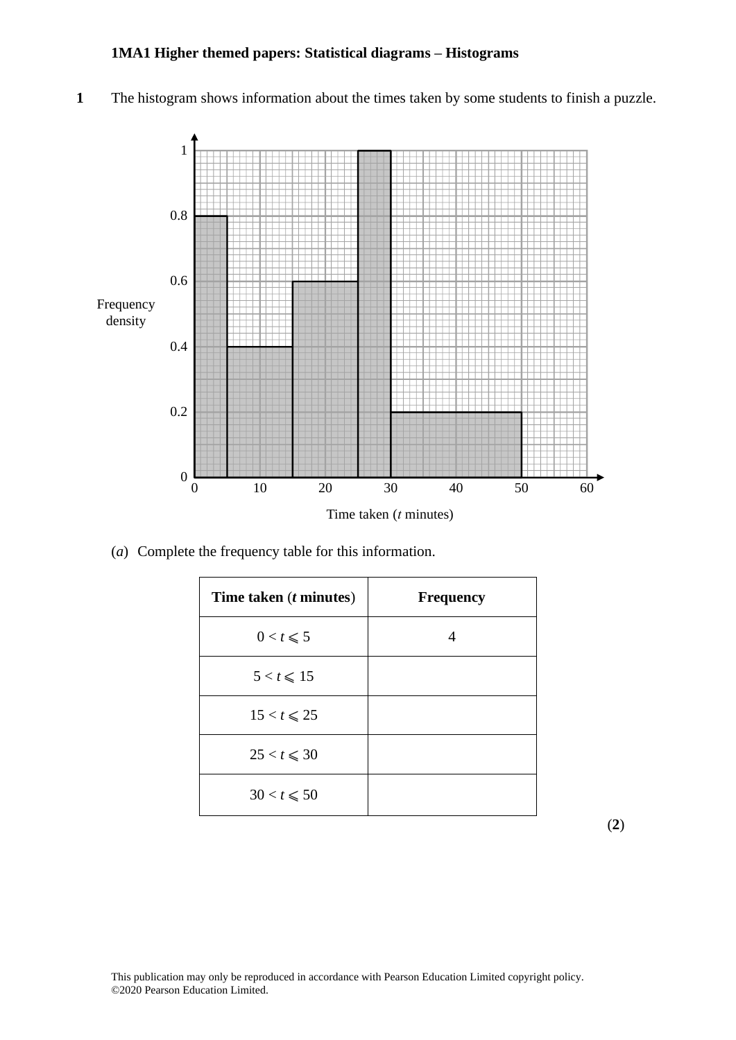**1** The histogram shows information about the times taken by some students to finish a puzzle. **17** The histogram shows information about the times taken by some students to finish <sup>a</sup> puzzle.



(*a*) Complete the frequency table for this information. (a) Complete the frequency table for this information.

| Time taken ( <i>t</i> minutes) | <b>Frequency</b> |
|--------------------------------|------------------|
| $0 < t \leqslant 5$            |                  |
| $5 < t \leq 15$                |                  |
| $15 < t \leqslant 25$          |                  |
| $25 < t \leq 30$               |                  |
| $30 < t \le 50$                |                  |

(**2**)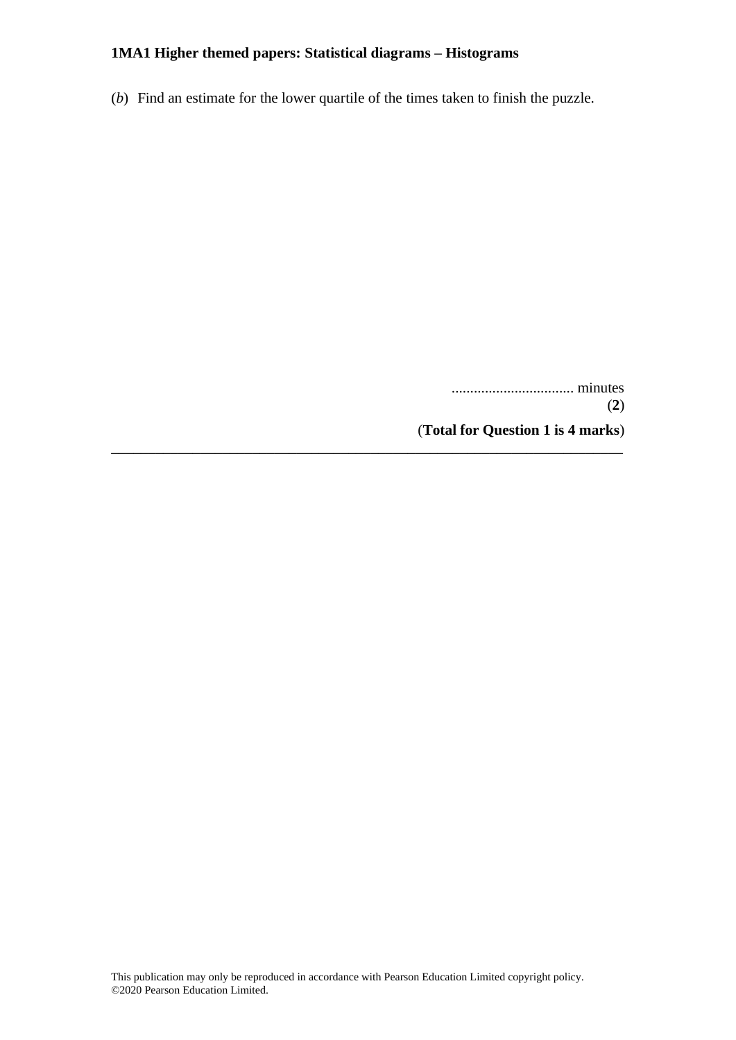(*b*) Find an estimate for the lower quartile of the times taken to finish the puzzle.

**\_\_\_\_\_\_\_\_\_\_\_\_\_\_\_\_\_\_\_\_\_\_\_\_\_\_\_\_\_\_\_\_\_\_\_\_\_\_\_\_\_\_\_\_\_\_\_\_\_\_\_\_\_\_\_\_\_\_\_\_\_\_\_\_\_\_\_\_\_**

................................. minutes (**2**) (**Total for Question 1 is 4 marks**)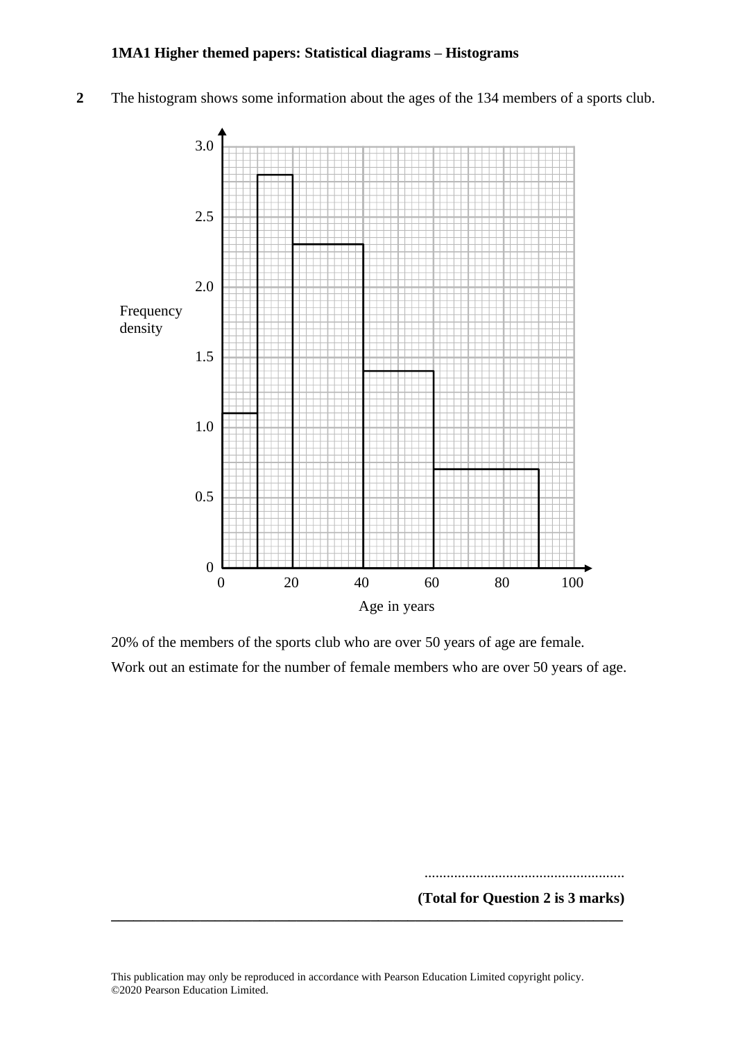2 The histogram shows some information about the ages of the 134 members of a sports club.



20% of the members of the sports club who are over 50 years of age are female. 20% of the members of the sports club who are over 50 years of age are female. Work out an estimate for the number of female members who are over 50 years of age. Work out an estimate for the number of female members who are over 50 years of age.

...................................................... ......................................................

**(Total for Question 2 is 3 marks) (Total for Question 13 is 3 marks)\_\_\_\_\_\_\_\_\_\_\_\_\_\_\_\_\_\_\_\_\_\_\_\_\_\_\_\_\_\_\_\_\_\_\_\_\_\_\_\_\_\_\_\_\_\_\_\_\_\_\_\_\_\_\_\_\_\_\_\_\_\_\_\_\_\_\_\_\_**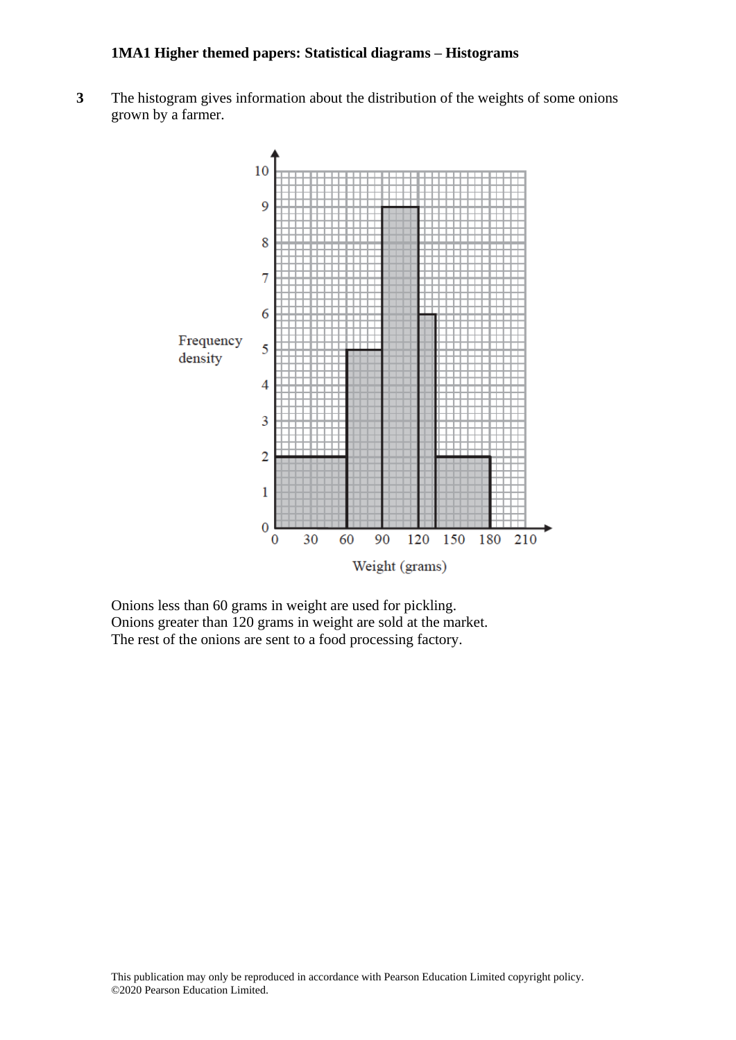**3** The histogram gives information about the distribution of the weights of some onions grown by a farmer.



Onions less than 60 grams in weight are used for pickling. Onions greater than 120 grams in weight are sold at the market. The rest of the onions are sent to a food processing factory.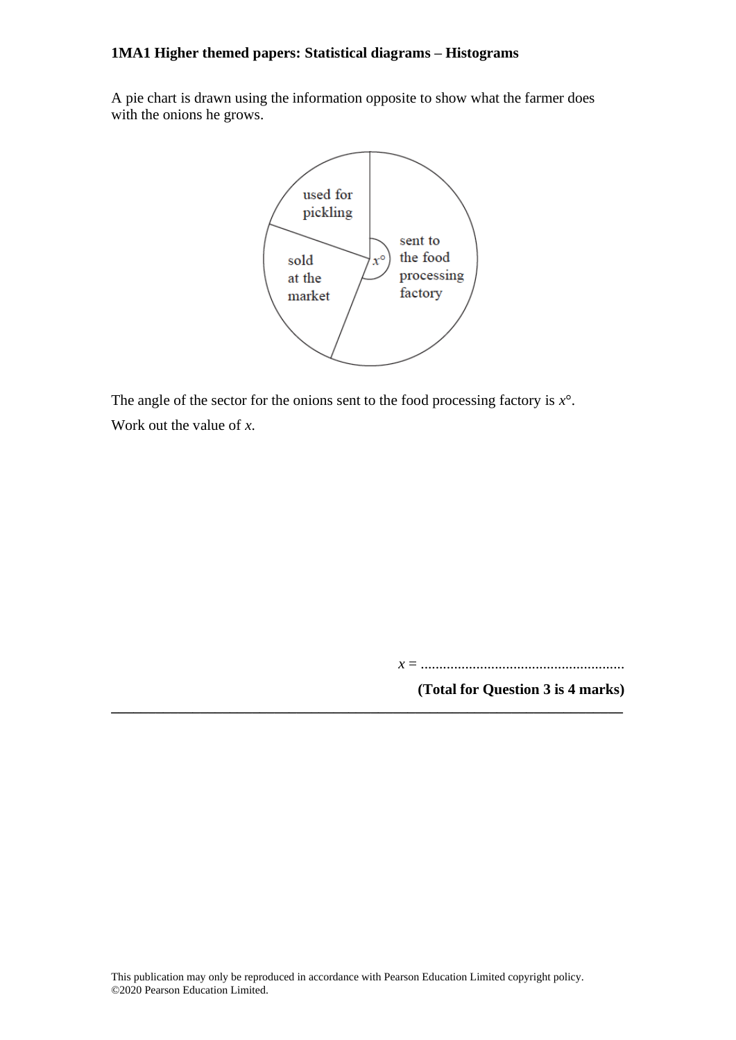A pie chart is drawn using the information opposite to show what the farmer does with the onions he grows.



The angle of the sector for the onions sent to the food processing factory is *x*°. Work out the value of *x*.

*x* = .......................................................

**(Total for Question 3 is 4 marks)**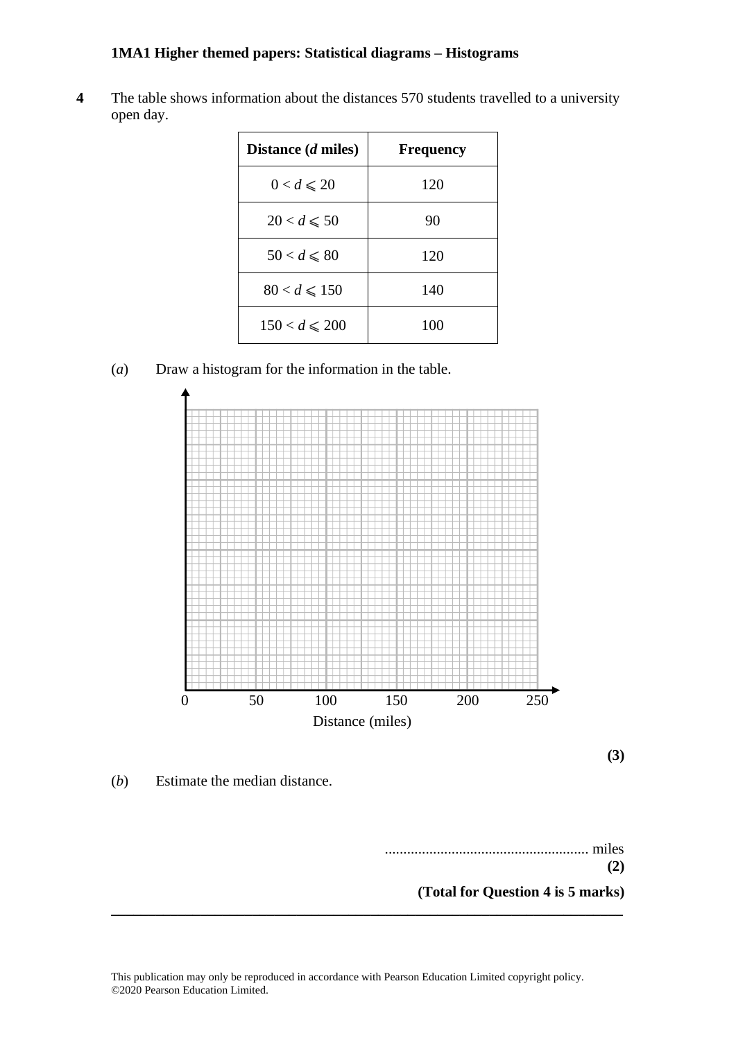4 The table shows information about the distances 570 students travelled to a university open day.

| Distance ( <i>d</i> miles) | <b>Frequency</b> |
|----------------------------|------------------|
| $0 < d \leqslant 20$       | 120              |
| $20 < d \le 50$            | 90               |
| $50 < d \leqslant 80$      | 120              |
| $80 < d \le 150$           | 140              |
| $150 < d \le 200$          | 100              |

(*a*) Draw a histogram for the information in the table. (a) Draw <sup>a</sup> histogram for the information in the table.



**(3)**

(*b*) Estimate the median distance. (b) Estimate the median distance.

....................................................... miles ....................................................... miles **(2) (2) (Total for Question 4 is 5 marks)**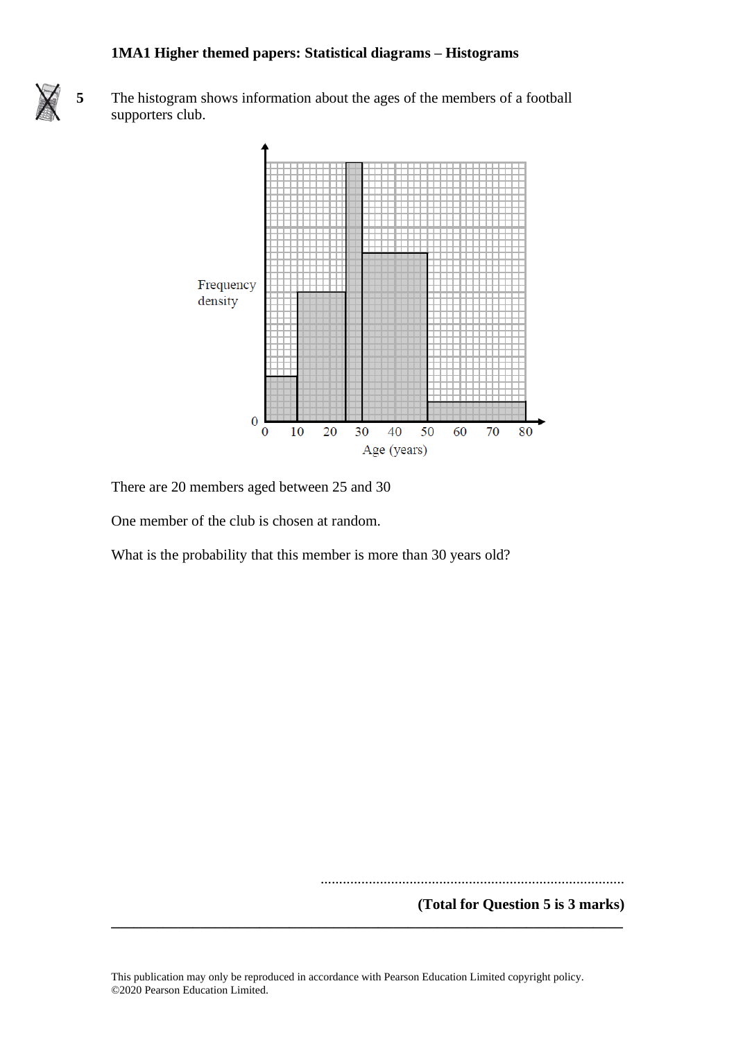

**5** The histogram shows information about the ages of the members of a football supporters club.



There are 20 members aged between 25 and 30

One member of the club is chosen at random.

What is the probability that this member is more than 30 years old?

..................................................................................

**(Total for Question 5 is 3 marks)**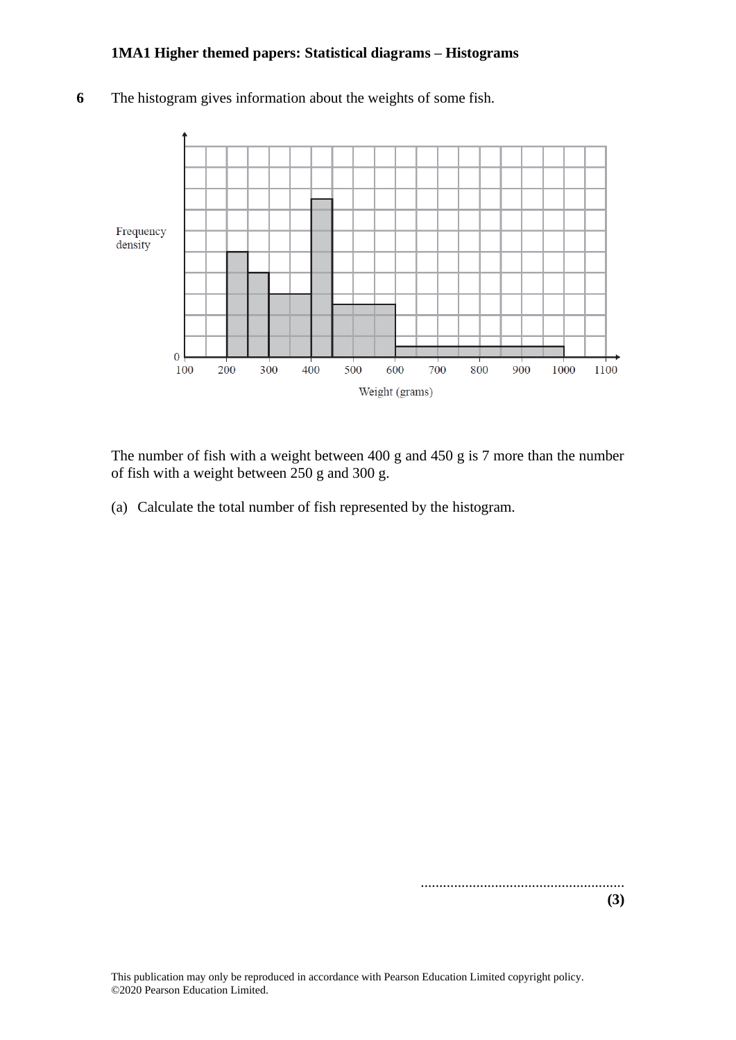

**6** The histogram gives information about the weights of some fish.

The number of fish with a weight between 400 g and 450 g is 7 more than the number of fish with a weight between 250 g and 300 g.

(a) Calculate the total number of fish represented by the histogram.

.......................................................

**(3)**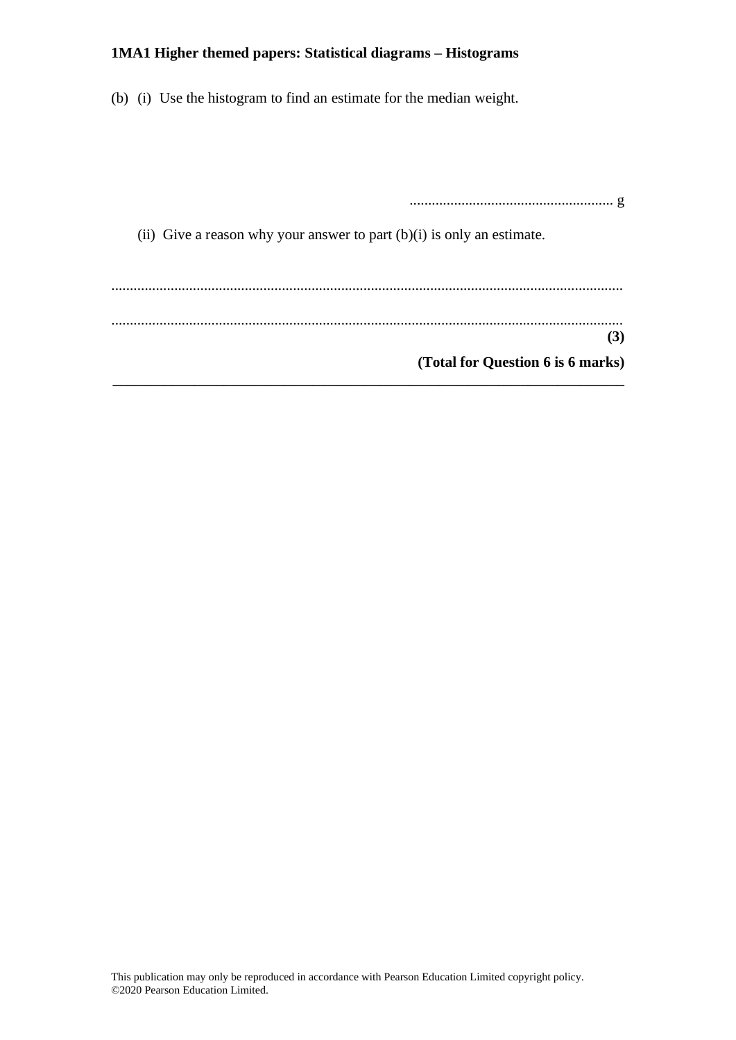(b) (i) Use the histogram to find an estimate for the median weight.

....................................................... g (ii) Give a reason why your answer to part  $(b)(i)$  is only an estimate. .......................................................................................................................................... .......................................................................................................................................... **(3) (Total for Question 6 is 6 marks) \_\_\_\_\_\_\_\_\_\_\_\_\_\_\_\_\_\_\_\_\_\_\_\_\_\_\_\_\_\_\_\_\_\_\_\_\_\_\_\_\_\_\_\_\_\_\_\_\_\_\_\_\_\_\_\_\_\_\_\_\_\_\_\_\_\_\_\_\_**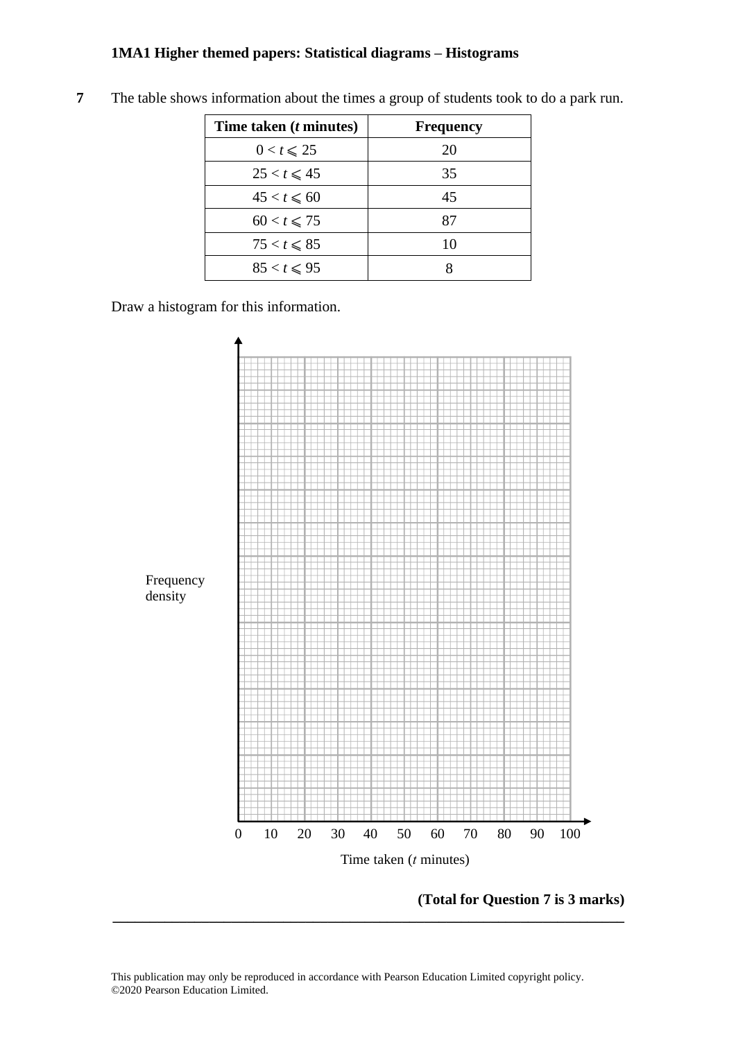| Time taken ( <i>t</i> minutes) | <b>Frequency</b> |
|--------------------------------|------------------|
| $0 < t \leqslant 25$           | 20               |
| $25 < t \leq 45$               | 35               |
| $45 < t \le 60$                | 45               |
| $60 < t \le 75$                | 87               |
| $75 < t \leqslant 85$          | 10               |
| $85 < t \le 95$                |                  |

**7** The table shows information about the times a group of students took to do a park run.

Draw a histogram for this information. Draw <sup>a</sup> histogram for this information.



**(Total for Question 7 is 3 marks) (Total for Question 15 is 3 marks)**

This publication may only be reproduced in accordance with Pearson Education Limited copyright policy. ©2020 Pearson Education Limited.